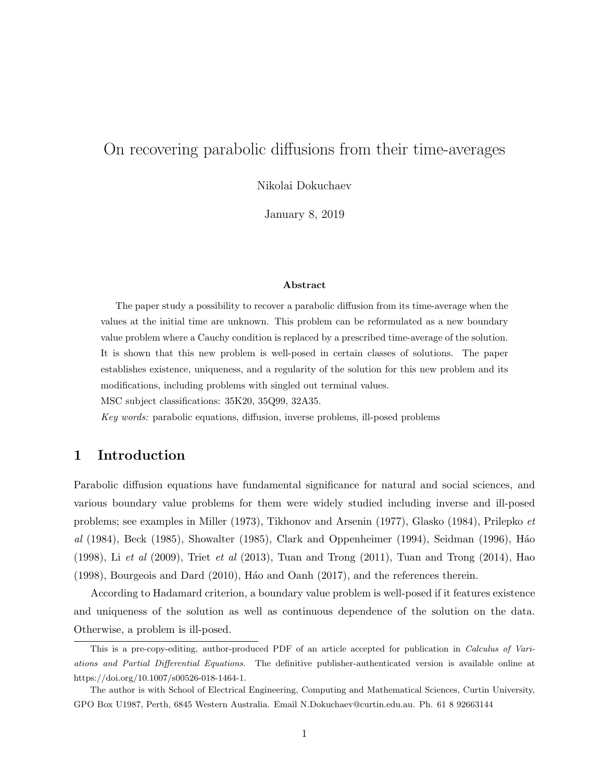## On recovering parabolic diffusions from their time-averages

Nikolai Dokuchaev

January 8, 2019

#### Abstract

The paper study a possibility to recover a parabolic diffusion from its time-average when the values at the initial time are unknown. This problem can be reformulated as a new boundary value problem where a Cauchy condition is replaced by a prescribed time-average of the solution. It is shown that this new problem is well-posed in certain classes of solutions. The paper establishes existence, uniqueness, and a regularity of the solution for this new problem and its modifications, including problems with singled out terminal values.

MSC subject classifications: 35K20, 35Q99, 32A35.

Key words: parabolic equations, diffusion, inverse problems, ill-posed problems

## 1 Introduction

Parabolic diffusion equations have fundamental significance for natural and social sciences, and various boundary value problems for them were widely studied including inverse and ill-posed problems; see examples in Miller (1973), Tikhonov and Arsenin (1977), Glasko (1984), Prilepko et al (1984), Beck (1985), Showalter (1985), Clark and Oppenheimer (1994), Seidman (1996), Háo  $(1998)$ , Li et al  $(2009)$ , Triet et al  $(2013)$ , Tuan and Trong  $(2011)$ , Tuan and Trong  $(2014)$ , Hao  $(1998)$ , Bourgeois and Dard  $(2010)$ , H<sub>3</sub>o and Oanh  $(2017)$ , and the references therein.

According to Hadamard criterion, a boundary value problem is well-posed if it features existence and uniqueness of the solution as well as continuous dependence of the solution on the data. Otherwise, a problem is ill-posed.

This is a pre-copy-editing, author-produced PDF of an article accepted for publication in Calculus of Variations and Partial Differential Equations. The definitive publisher-authenticated version is available online at https://doi.org/10.1007/s00526-018-1464-1.

The author is with School of Electrical Engineering, Computing and Mathematical Sciences, Curtin University, GPO Box U1987, Perth, 6845 Western Australia. Email N.Dokuchaev@curtin.edu.au. Ph. 61 8 92663144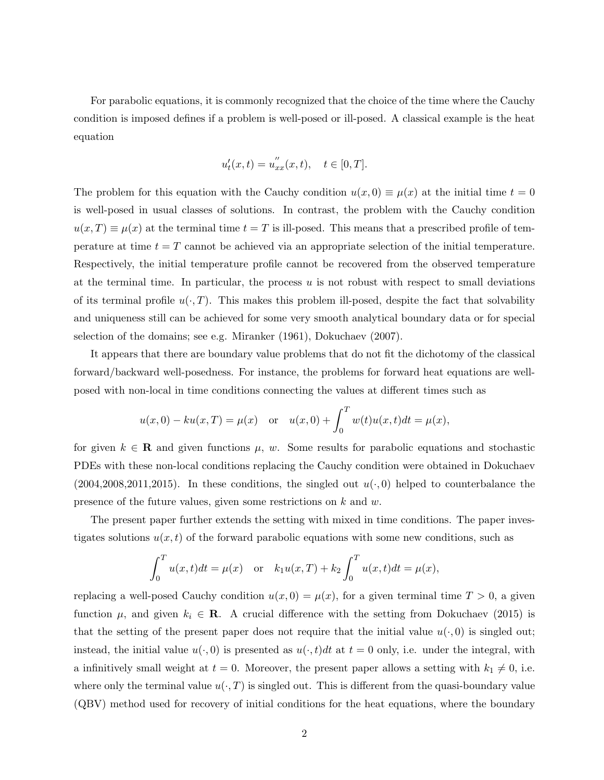For parabolic equations, it is commonly recognized that the choice of the time where the Cauchy condition is imposed defines if a problem is well-posed or ill-posed. A classical example is the heat equation

$$
u'_{t}(x,t) = u''_{xx}(x,t), \quad t \in [0,T].
$$

The problem for this equation with the Cauchy condition  $u(x, 0) \equiv \mu(x)$  at the initial time  $t = 0$ is well-posed in usual classes of solutions. In contrast, the problem with the Cauchy condition  $u(x,T) \equiv \mu(x)$  at the terminal time  $t = T$  is ill-posed. This means that a prescribed profile of temperature at time  $t = T$  cannot be achieved via an appropriate selection of the initial temperature. Respectively, the initial temperature profile cannot be recovered from the observed temperature at the terminal time. In particular, the process  $u$  is not robust with respect to small deviations of its terminal profile  $u(\cdot, T)$ . This makes this problem ill-posed, despite the fact that solvability and uniqueness still can be achieved for some very smooth analytical boundary data or for special selection of the domains; see e.g. Miranker (1961), Dokuchaev (2007).

It appears that there are boundary value problems that do not fit the dichotomy of the classical forward/backward well-posedness. For instance, the problems for forward heat equations are wellposed with non-local in time conditions connecting the values at different times such as

$$
u(x, 0) - ku(x, T) = \mu(x)
$$
 or  $u(x, 0) + \int_0^T w(t)u(x, t)dt = \mu(x)$ ,

for given  $k \in \mathbf{R}$  and given functions  $\mu$ , w. Some results for parabolic equations and stochastic PDEs with these non-local conditions replacing the Cauchy condition were obtained in Dokuchaev  $(2004, 2008, 2011, 2015)$ . In these conditions, the singled out  $u(\cdot, 0)$  helped to counterbalance the presence of the future values, given some restrictions on k and w.

The present paper further extends the setting with mixed in time conditions. The paper investigates solutions  $u(x, t)$  of the forward parabolic equations with some new conditions, such as

$$
\int_0^T u(x,t)dt = \mu(x) \text{ or } k_1u(x,T) + k_2 \int_0^T u(x,t)dt = \mu(x),
$$

replacing a well-posed Cauchy condition  $u(x, 0) = \mu(x)$ , for a given terminal time  $T > 0$ , a given function  $\mu$ , and given  $k_i \in \mathbf{R}$ . A crucial difference with the setting from Dokuchaev (2015) is that the setting of the present paper does not require that the initial value  $u(\cdot, 0)$  is singled out; instead, the initial value  $u(\cdot, 0)$  is presented as  $u(\cdot, t)dt$  at  $t = 0$  only, i.e. under the integral, with a infinitively small weight at  $t = 0$ . Moreover, the present paper allows a setting with  $k_1 \neq 0$ , i.e. where only the terminal value  $u(\cdot, T)$  is singled out. This is different from the quasi-boundary value (QBV) method used for recovery of initial conditions for the heat equations, where the boundary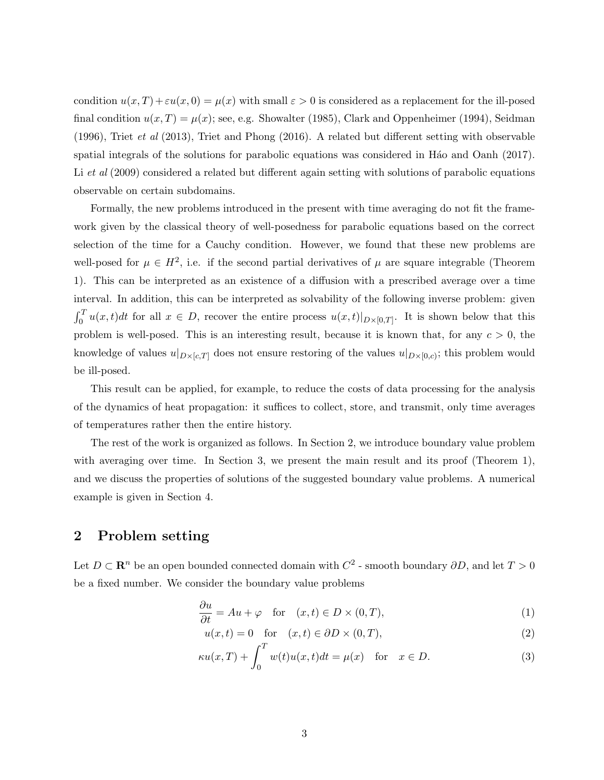condition  $u(x,T) + \varepsilon u(x,0) = \mu(x)$  with small  $\varepsilon > 0$  is considered as a replacement for the ill-posed final condition  $u(x,T) = \mu(x)$ ; see, e.g. Showalter (1985), Clark and Oppenheimer (1994), Seidman (1996), Triet et al (2013), Triet and Phong (2016). A related but different setting with observable spatial integrals of the solutions for parabolic equations was considered in H<sub>a</sub>o and Oanh (2017). Li et al (2009) considered a related but different again setting with solutions of parabolic equations observable on certain subdomains.

Formally, the new problems introduced in the present with time averaging do not fit the framework given by the classical theory of well-posedness for parabolic equations based on the correct selection of the time for a Cauchy condition. However, we found that these new problems are well-posed for  $\mu \in H^2$ , i.e. if the second partial derivatives of  $\mu$  are square integrable (Theorem 1). This can be interpreted as an existence of a diffusion with a prescribed average over a time interval. In addition, this can be interpreted as solvability of the following inverse problem: given  $\int_0^T u(x,t)dt$  for all  $x \in D$ , recover the entire process  $u(x,t)|_{D\times[0,T]}$ . It is shown below that this problem is well-posed. This is an interesting result, because it is known that, for any  $c > 0$ , the knowledge of values  $u|_{D\times [c,T]}$  does not ensure restoring of the values  $u|_{D\times [0,c)}$ ; this problem would be ill-posed.

This result can be applied, for example, to reduce the costs of data processing for the analysis of the dynamics of heat propagation: it suffices to collect, store, and transmit, only time averages of temperatures rather then the entire history.

The rest of the work is organized as follows. In Section 2, we introduce boundary value problem with averaging over time. In Section 3, we present the main result and its proof (Theorem 1), and we discuss the properties of solutions of the suggested boundary value problems. A numerical example is given in Section 4.

## 2 Problem setting

Let  $D \subset \mathbb{R}^n$  be an open bounded connected domain with  $C^2$  - smooth boundary  $\partial D$ , and let  $T > 0$ be a fixed number. We consider the boundary value problems

$$
\frac{\partial u}{\partial t} = Au + \varphi \quad \text{for} \quad (x, t) \in D \times (0, T), \tag{1}
$$

$$
u(x,t) = 0 \quad \text{for} \quad (x,t) \in \partial D \times (0,T), \tag{2}
$$

$$
\kappa u(x,T) + \int_0^T w(t)u(x,t)dt = \mu(x) \quad \text{for} \quad x \in D. \tag{3}
$$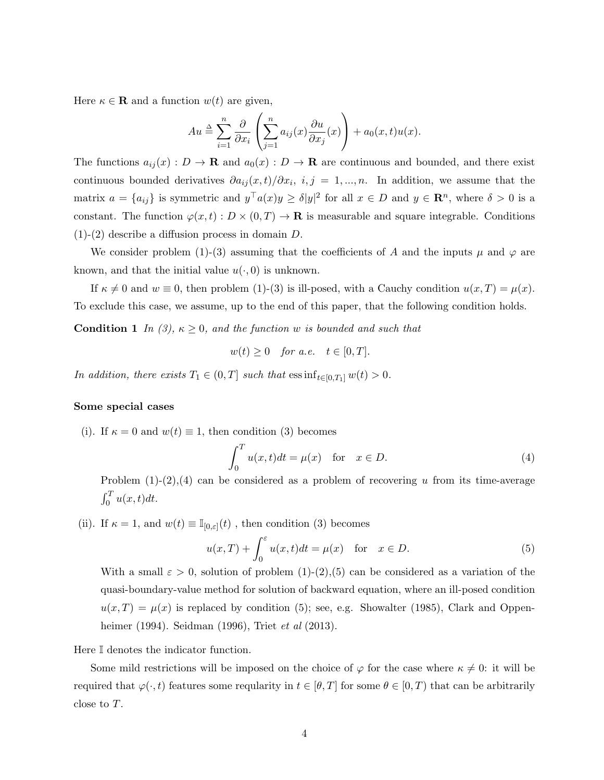Here  $\kappa \in \mathbf{R}$  and a function  $w(t)$  are given,

$$
Au \triangleq \sum_{i=1}^{n} \frac{\partial}{\partial x_i} \left( \sum_{j=1}^{n} a_{ij}(x) \frac{\partial u}{\partial x_j}(x) \right) + a_0(x, t) u(x).
$$

The functions  $a_{ij}(x): D \to \mathbf{R}$  and  $a_0(x): D \to \mathbf{R}$  are continuous and bounded, and there exist continuous bounded derivatives  $\partial a_{ij}(x,t)/\partial x_i$ ,  $i, j = 1, ..., n$ . In addition, we assume that the matrix  $a = \{a_{ij}\}\$ is symmetric and  $y^{\top}a(x)y \ge \delta |y|^2$  for all  $x \in D$  and  $y \in \mathbb{R}^n$ , where  $\delta > 0$  is a constant. The function  $\varphi(x,t): D \times (0,T) \to \mathbf{R}$  is measurable and square integrable. Conditions  $(1)-(2)$  describe a diffusion process in domain D.

We consider problem (1)-(3) assuming that the coefficients of A and the inputs  $\mu$  and  $\varphi$  are known, and that the initial value  $u(\cdot, 0)$  is unknown.

If  $\kappa \neq 0$  and  $w \equiv 0$ , then problem (1)-(3) is ill-posed, with a Cauchy condition  $u(x,T) = \mu(x)$ . To exclude this case, we assume, up to the end of this paper, that the following condition holds.

**Condition 1** In (3),  $\kappa \geq 0$ , and the function w is bounded and such that

$$
w(t) \ge 0 \quad \text{for a.e.} \quad t \in [0, T].
$$

In addition, there exists  $T_1 \in (0,T]$  such that  $\text{ess inf}_{t \in [0,T_1]} w(t) > 0$ .

#### Some special cases

(i). If  $\kappa = 0$  and  $w(t) \equiv 1$ , then condition (3) becomes

$$
\int_0^T u(x,t)dt = \mu(x) \quad \text{for} \quad x \in D.
$$
 (4)

Problem  $(1)-(2),(4)$  can be considered as a problem of recovering u from its time-average  $\int_0^T u(x,t)dt$ .

(ii). If  $\kappa = 1$ , and  $w(t) \equiv \mathbb{I}_{[0,\varepsilon]}(t)$ , then condition (3) becomes

$$
u(x,T) + \int_0^{\varepsilon} u(x,t)dt = \mu(x) \quad \text{for} \quad x \in D.
$$
 (5)

With a small  $\varepsilon > 0$ , solution of problem  $(1)-(2)(5)$  can be considered as a variation of the quasi-boundary-value method for solution of backward equation, where an ill-posed condition  $u(x,T) = \mu(x)$  is replaced by condition (5); see, e.g. Showalter (1985), Clark and Oppenheimer (1994). Seidman (1996), Triet *et al* (2013).

Here I denotes the indicator function.

Some mild restrictions will be imposed on the choice of  $\varphi$  for the case where  $\kappa \neq 0$ : it will be required that  $\varphi(\cdot,t)$  features some reqularity in  $t \in [\theta, T]$  for some  $\theta \in [0, T)$  that can be arbitrarily close to T.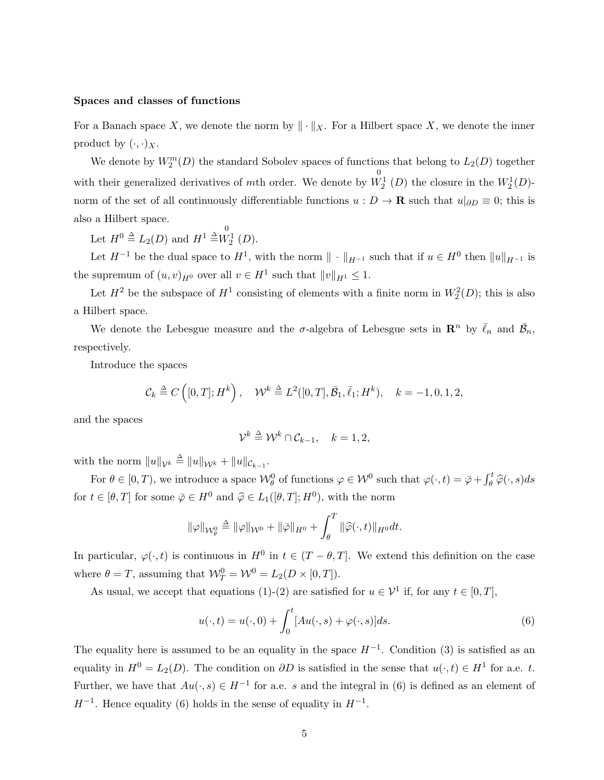#### Spaces and classes of functions

For a Banach space X, we denote the norm by  $\|\cdot\|_X$ . For a Hilbert space X, we denote the inner product by  $(\cdot, \cdot)_X$ .

We denote by  $W_2^m(D)$  the standard Sobolev spaces of functions that belong to  $L_2(D)$  together with their generalized derivatives of mth order. We denote by  $\stackrel{0}{W^1_2}(D)$  the closure in the  $W^1_2(D)$ norm of the set of all continuously differentiable functions  $u : D \to \mathbf{R}$  such that  $u|_{\partial D} \equiv 0$ ; this is also a Hilbert space.

Let  $H^0 \triangleq L_2(D)$  and  $H^1 \triangleq W_2^1(D)$ .

Let  $H^{-1}$  be the dual space to  $H^1$ , with the norm  $\|\cdot\|_{H^{-1}}$  such that if  $u \in H^0$  then  $||u||_{H^{-1}}$  is the supremum of  $(u, v)_{H^0}$  over all  $v \in H^1$  such that  $||v||_{H^1} \leq 1$ .

Let  $H^2$  be the subspace of  $H^1$  consisting of elements with a finite norm in  $W_2^2(D)$ ; this is also a Hilbert space.

We denote the Lebesgue measure and the  $\sigma$ -algebra of Lebesgue sets in  $\mathbb{R}^n$  by  $\bar{\ell}_n$  and  $\bar{\mathcal{B}}_n$ , respectively.

Introduce the spaces

$$
\mathcal{C}_k \stackrel{\Delta}{=} C([0,T];H^k), \quad \mathcal{W}^k \stackrel{\Delta}{=} L^2([0,T],\bar{\mathcal{B}}_1,\bar{\ell}_1;H^k), \quad k=-1,0,1,2,
$$

and the spaces

$$
\mathcal{V}^k \stackrel{\Delta}{=} \mathcal{W}^k \cap \mathcal{C}_{k-1}, \quad k = 1, 2,
$$

with the norm  $||u||_{\mathcal{V}^k} \triangleq ||u||_{\mathcal{W}^k} + ||u||_{\mathcal{C}_{k-1}}$ .

For  $\theta \in [0, T)$ , we introduce a space  $\mathcal{W}_{\theta}^0$  of functions  $\varphi \in \mathcal{W}^0$  such that  $\varphi(\cdot, t) = \overline{\varphi} + \int_{\theta}^{t} \widehat{\varphi}(\cdot, s) ds$ for  $t \in [\theta, T]$  for some  $\bar{\varphi} \in H^0$  and  $\hat{\varphi} \in L_1([\theta, T]; H^0)$ , with the norm

$$
\|\varphi\|_{\mathcal{W}^0_{\theta}} \triangleq \|\varphi\|_{\mathcal{W}^0} + \|\bar{\varphi}\|_{H^0} + \int_{\theta}^T \|\widehat{\varphi}(\cdot,t)\|_{H^0} dt.
$$

In particular,  $\varphi(\cdot, t)$  is continuous in  $H^0$  in  $t \in (T - \theta, T]$ . We extend this definition on the case where  $\theta = T$ , assuming that  $\mathcal{W}_T^0 = \mathcal{W}^0 = L_2(D \times [0, T]).$ 

As usual, we accept that equations (1)-(2) are satisfied for  $u \in \mathcal{V}^1$  if, for any  $t \in [0, T]$ ,

$$
u(\cdot,t) = u(\cdot,0) + \int_0^t [Au(\cdot,s) + \varphi(\cdot,s)]ds.
$$
\n(6)

The equality here is assumed to be an equality in the space  $H^{-1}$ . Condition (3) is satisfied as an equality in  $H^0 = L_2(D)$ . The condition on  $\partial D$  is satisfied in the sense that  $u(\cdot, t) \in H^1$  for a.e. t. Further, we have that  $Au(\cdot, s) \in H^{-1}$  for a.e. s and the integral in (6) is defined as an element of  $H^{-1}$ . Hence equality (6) holds in the sense of equality in  $H^{-1}$ .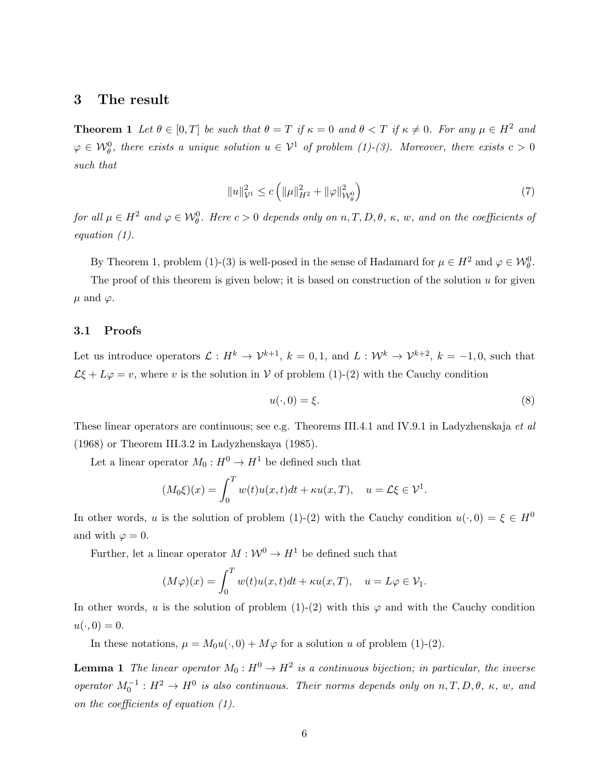### 3 The result

**Theorem 1** Let  $\theta \in [0, T]$  be such that  $\theta = T$  if  $\kappa = 0$  and  $\theta < T$  if  $\kappa \neq 0$ . For any  $\mu \in H^2$  and  $\varphi \in \mathcal{W}_{\theta}^0$ , there exists a unique solution  $u \in \mathcal{V}^1$  of problem (1)-(3). Moreover, there exists  $c > 0$ such that

$$
||u||_{\mathcal{V}^{1}}^{2} \leq c \left( ||\mu||_{H^{2}}^{2} + ||\varphi||_{\mathcal{W}^{0}_{\theta}}^{2} \right) \tag{7}
$$

for all  $\mu \in H^2$  and  $\varphi \in \mathcal{W}_{\theta}^0$ . Here  $c > 0$  depends only on  $n, T, D, \theta$ ,  $\kappa$ ,  $w$ , and on the coefficients of equation (1).

By Theorem 1, problem (1)-(3) is well-posed in the sense of Hadamard for  $\mu \in H^2$  and  $\varphi \in \mathcal{W}_{\theta}^0$ .

The proof of this theorem is given below; it is based on construction of the solution  $u$  for given  $\mu$  and  $\varphi$ .

#### 3.1 Proofs

Let us introduce operators  $\mathcal{L}: H^k \to \mathcal{V}^{k+1}, k = 0, 1$ , and  $L: \mathcal{W}^k \to \mathcal{V}^{k+2}, k = -1, 0$ , such that  $\mathcal{L}\xi + L\varphi = v$ , where v is the solution in V of problem (1)-(2) with the Cauchy condition

$$
u(\cdot,0) = \xi.
$$
 (8)

These linear operators are continuous; see e.g. Theorems III.4.1 and IV.9.1 in Ladyzhenskaja *et al* (1968) or Theorem III.3.2 in Ladyzhenskaya (1985).

Let a linear operator  $M_0: H^0 \to H^1$  be defined such that

$$
(M_0\xi)(x) = \int_0^T w(t)u(x,t)dt + \kappa u(x,T), \quad u = \mathcal{L}\xi \in \mathcal{V}^1.
$$

In other words, u is the solution of problem (1)-(2) with the Cauchy condition  $u(\cdot, 0) = \xi \in H^0$ and with  $\varphi = 0$ .

Further, let a linear operator  $M : \mathcal{W}^0 \to H^1$  be defined such that

$$
(M\varphi)(x) = \int_0^T w(t)u(x,t)dt + \kappa u(x,T), \quad u = L\varphi \in \mathcal{V}_1.
$$

In other words, u is the solution of problem (1)-(2) with this  $\varphi$  and with the Cauchy condition  $u(\cdot, 0) = 0.$ 

In these notations,  $\mu = M_0u(\cdot, 0) + M\varphi$  for a solution u of problem (1)-(2).

**Lemma 1** The linear operator  $M_0: H^0 \to H^2$  is a continuous bijection; in particular, the inverse operator  $M_0^{-1}: H^2 \to H^0$  is also continuous. Their norms depends only on  $n, T, D, \theta, \kappa, w$ , and on the coefficients of equation (1).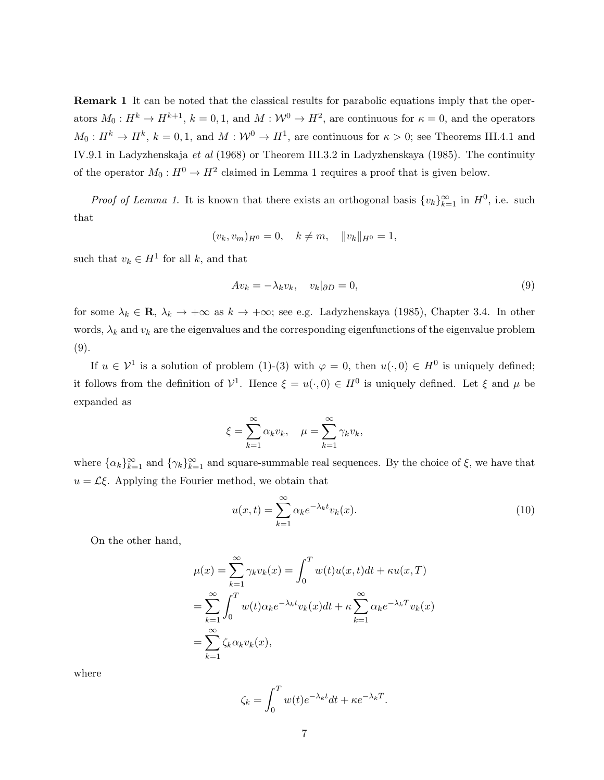Remark 1 It can be noted that the classical results for parabolic equations imply that the operators  $M_0: H^k \to H^{k+1}$ ,  $k = 0, 1$ , and  $M: W^0 \to H^2$ , are continuous for  $\kappa = 0$ , and the operators  $M_0: H^k \to H^k$ ,  $k = 0, 1$ , and  $M: W^0 \to H^1$ , are continuous for  $\kappa > 0$ ; see Theorems III.4.1 and IV.9.1 in Ladyzhenskaja et al (1968) or Theorem III.3.2 in Ladyzhenskaya (1985). The continuity of the operator  $M_0: H^0 \to H^2$  claimed in Lemma 1 requires a proof that is given below.

*Proof of Lemma 1*. It is known that there exists an orthogonal basis  $\{v_k\}_{k=1}^{\infty}$  in  $H^0$ , i.e. such that

$$
(v_k, v_m)_{H^0} = 0, \quad k \neq m, \quad ||v_k||_{H^0} = 1,
$$

such that  $v_k \in H^1$  for all k, and that

$$
Av_k = -\lambda_k v_k, \quad v_k|_{\partial D} = 0,\tag{9}
$$

for some  $\lambda_k \in \mathbf{R}$ ,  $\lambda_k \to +\infty$  as  $k \to +\infty$ ; see e.g. Ladyzhenskaya (1985), Chapter 3.4. In other words,  $\lambda_k$  and  $v_k$  are the eigenvalues and the corresponding eigenfunctions of the eigenvalue problem (9).

If  $u \in \mathcal{V}^1$  is a solution of problem (1)-(3) with  $\varphi = 0$ , then  $u(\cdot, 0) \in H^0$  is uniquely defined; it follows from the definition of  $\mathcal{V}^1$ . Hence  $\xi = u(\cdot,0) \in H^0$  is uniquely defined. Let  $\xi$  and  $\mu$  be expanded as

$$
\xi = \sum_{k=1}^{\infty} \alpha_k v_k, \quad \mu = \sum_{k=1}^{\infty} \gamma_k v_k,
$$

where  $\{\alpha_k\}_{k=1}^{\infty}$  and  $\{\gamma_k\}_{k=1}^{\infty}$  and square-summable real sequences. By the choice of  $\xi$ , we have that  $u = \mathcal{L}\xi$ . Applying the Fourier method, we obtain that

$$
u(x,t) = \sum_{k=1}^{\infty} \alpha_k e^{-\lambda_k t} v_k(x).
$$
 (10)

On the other hand,

$$
\mu(x) = \sum_{k=1}^{\infty} \gamma_k v_k(x) = \int_0^T w(t)u(x,t)dt + \kappa u(x,T)
$$
  
= 
$$
\sum_{k=1}^{\infty} \int_0^T w(t)\alpha_k e^{-\lambda_k t} v_k(x)dt + \kappa \sum_{k=1}^{\infty} \alpha_k e^{-\lambda_k T} v_k(x)
$$
  
= 
$$
\sum_{k=1}^{\infty} \zeta_k \alpha_k v_k(x),
$$

where

$$
\zeta_k = \int_0^T w(t)e^{-\lambda_k t}dt + \kappa e^{-\lambda_k T}.
$$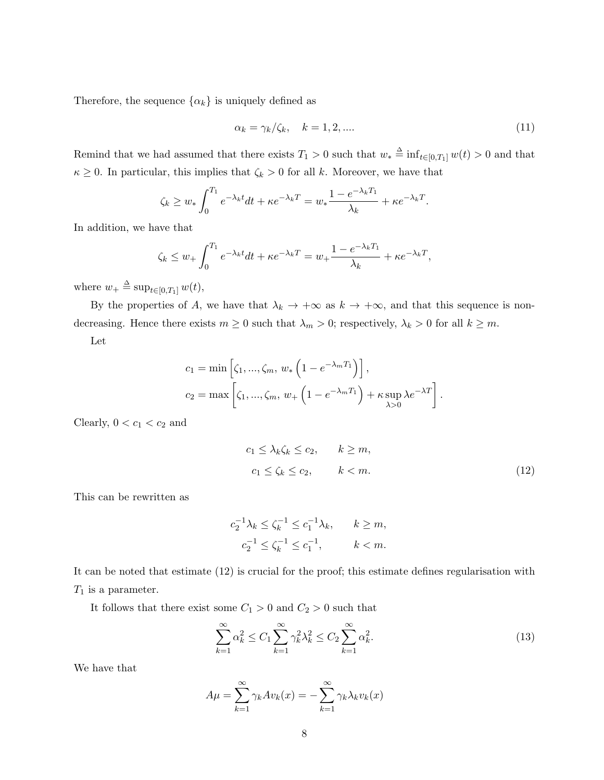Therefore, the sequence  $\{\alpha_k\}$  is uniquely defined as

$$
\alpha_k = \gamma_k / \zeta_k, \quad k = 1, 2, \dots \tag{11}
$$

Remind that we had assumed that there exists  $T_1 > 0$  such that  $w_* \triangleq \inf_{t \in [0,T_1]} w(t) > 0$  and that  $\kappa \geq 0$ . In particular, this implies that  $\zeta_k > 0$  for all k. Moreover, we have that

$$
\zeta_k \ge w_* \int_0^{T_1} e^{-\lambda_k t} dt + \kappa e^{-\lambda_k T} = w_* \frac{1 - e^{-\lambda_k T_1}}{\lambda_k} + \kappa e^{-\lambda_k T}.
$$

In addition, we have that

$$
\zeta_k \le w_+ \int_0^{T_1} e^{-\lambda_k t} dt + \kappa e^{-\lambda_k T} = w_+ \frac{1 - e^{-\lambda_k T_1}}{\lambda_k} + \kappa e^{-\lambda_k T},
$$

where  $w_+ \triangleq \sup_{t \in [0,T_1]} w(t)$ ,

By the properties of A, we have that  $\lambda_k \to +\infty$  as  $k \to +\infty$ , and that this sequence is nondecreasing. Hence there exists  $m \geq 0$  such that  $\lambda_m > 0$ ; respectively,  $\lambda_k > 0$  for all  $k \geq m$ .

Let

$$
c_1 = \min\left[\zeta_1, ..., \zeta_m, w_* \left(1 - e^{-\lambda_m T_1}\right)\right],
$$
  
\n
$$
c_2 = \max\left[\zeta_1, ..., \zeta_m, w_+ \left(1 - e^{-\lambda_m T_1}\right) + \kappa \sup_{\lambda > 0} \lambda e^{-\lambda T}\right]
$$

Clearly,  $0 < c_1 < c_2$  and

$$
c_1 \le \lambda_k \zeta_k \le c_2, \qquad k \ge m,
$$
  

$$
c_1 \le \zeta_k \le c_2, \qquad k < m.
$$
 (12)

.

This can be rewritten as

$$
c_2^{-1}\lambda_k \le \zeta_k^{-1} \le c_1^{-1}\lambda_k, \qquad k \ge m,
$$
  
 $c_2^{-1} \le \zeta_k^{-1} \le c_1^{-1}, \qquad k < m.$ 

It can be noted that estimate (12) is crucial for the proof; this estimate defines regularisation with  $T_1$  is a parameter.

It follows that there exist some  $C_1 > 0$  and  $C_2 > 0$  such that

$$
\sum_{k=1}^{\infty} \alpha_k^2 \le C_1 \sum_{k=1}^{\infty} \gamma_k^2 \lambda_k^2 \le C_2 \sum_{k=1}^{\infty} \alpha_k^2.
$$
\n(13)

We have that

$$
A\mu = \sum_{k=1}^{\infty} \gamma_k A v_k(x) = -\sum_{k=1}^{\infty} \gamma_k \lambda_k v_k(x)
$$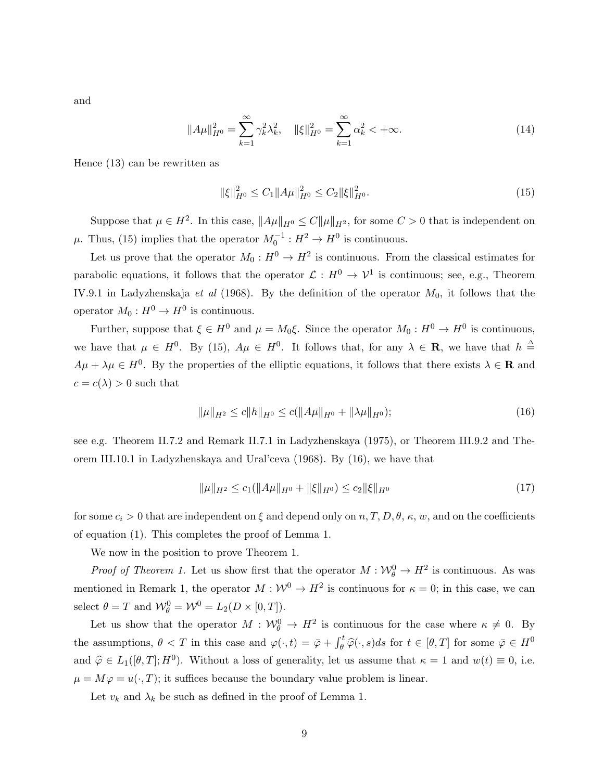and

$$
||A\mu||_{H^0}^2 = \sum_{k=1}^{\infty} \gamma_k^2 \lambda_k^2, \quad ||\xi||_{H^0}^2 = \sum_{k=1}^{\infty} \alpha_k^2 < +\infty.
$$
 (14)

Hence (13) can be rewritten as

$$
\|\xi\|_{H^0}^2 \le C_1 \|A\mu\|_{H^0}^2 \le C_2 \|\xi\|_{H^0}^2. \tag{15}
$$

Suppose that  $\mu \in H^2$ . In this case,  $||A\mu||_{H^0} \leq C ||\mu||_{H^2}$ , for some  $C > 0$  that is independent on  $\mu$ . Thus, (15) implies that the operator  $M_0^{-1}$ :  $H^2 \to H^0$  is continuous.

Let us prove that the operator  $M_0: H^0 \to H^2$  is continuous. From the classical estimates for parabolic equations, it follows that the operator  $\mathcal{L}: H^0 \to \mathcal{V}^1$  is continuous; see, e.g., Theorem IV.9.1 in Ladyzhenskaja et al (1968). By the definition of the operator  $M_0$ , it follows that the operator  $M_0: H^0 \to H^0$  is continuous.

Further, suppose that  $\xi \in H^0$  and  $\mu = M_0 \xi$ . Since the operator  $M_0: H^0 \to H^0$  is continuous, we have that  $\mu \in H^0$ . By (15),  $A\mu \in H^0$ . It follows that, for any  $\lambda \in \mathbf{R}$ , we have that  $h \triangleq$  $A\mu + \lambda \mu \in H^0$ . By the properties of the elliptic equations, it follows that there exists  $\lambda \in \mathbf{R}$  and  $c = c(\lambda) > 0$  such that

$$
\|\mu\|_{H^2} \le c \|h\|_{H^0} \le c (\|A\mu\|_{H^0} + \|\lambda \mu\|_{H^0});\tag{16}
$$

see e.g. Theorem II.7.2 and Remark II.7.1 in Ladyzhenskaya (1975), or Theorem III.9.2 and Theorem III.10.1 in Ladyzhenskaya and Ural'ceva (1968). By (16), we have that

$$
\|\mu\|_{H^2} \le c_1(\|A\mu\|_{H^0} + \|\xi\|_{H^0}) \le c_2 \|\xi\|_{H^0}
$$
\n(17)

for some  $c_i > 0$  that are independent on  $\xi$  and depend only on  $n, T, D, \theta, \kappa, w$ , and on the coefficients of equation (1). This completes the proof of Lemma 1.

We now in the position to prove Theorem 1.

*Proof of Theorem 1.* Let us show first that the operator  $M: \mathcal{W}_{\theta}^0 \to H^2$  is continuous. As was mentioned in Remark 1, the operator  $M: W^0 \to H^2$  is continuous for  $\kappa = 0$ ; in this case, we can select  $\theta = T$  and  $\mathcal{W}_{\theta}^{0} = \mathcal{W}^{0} = L_{2}(D \times [0, T]).$ 

Let us show that the operator  $M: \mathcal{W}_{\theta}^{0} \to H^{2}$  is continuous for the case where  $\kappa \neq 0$ . By the assumptions,  $\theta < T$  in this case and  $\varphi(\cdot, t) = \overline{\varphi} + \int_{\theta}^{t} \widehat{\varphi}(\cdot, s) ds$  for  $t \in [\theta, T]$  for some  $\overline{\varphi} \in H^0$ and  $\hat{\varphi} \in L_1([\theta, T]; H^0)$ . Without a loss of generality, let us assume that  $\kappa = 1$  and  $w(t) \equiv 0$ , i.e.  $\mu = M\varphi = u(\cdot, T)$ ; it suffices because the boundary value problem is linear.

Let  $v_k$  and  $\lambda_k$  be such as defined in the proof of Lemma 1.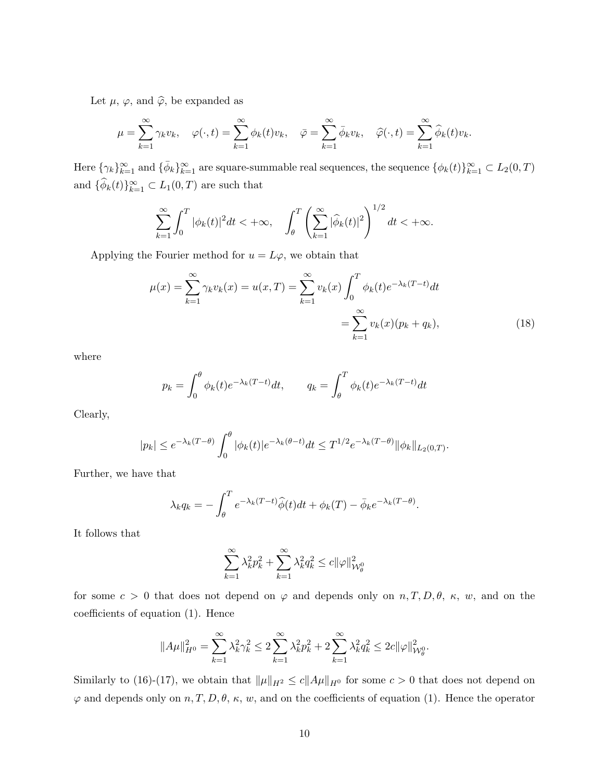Let  $\mu$ ,  $\varphi$ , and  $\widehat{\varphi}$ , be expanded as

$$
\mu = \sum_{k=1}^{\infty} \gamma_k v_k, \quad \varphi(\cdot, t) = \sum_{k=1}^{\infty} \phi_k(t) v_k, \quad \bar{\varphi} = \sum_{k=1}^{\infty} \bar{\phi}_k v_k, \quad \hat{\varphi}(\cdot, t) = \sum_{k=1}^{\infty} \hat{\phi}_k(t) v_k.
$$

Here  $\{\gamma_k\}_{k=1}^{\infty}$  and  $\{\bar{\phi}_k\}_{k=1}^{\infty}$  are square-summable real sequences, the sequence  $\{\phi_k(t)\}_{k=1}^{\infty} \subset L_2(0,T)$ and  $\{\widehat{\phi}_k(t)\}_{k=1}^{\infty} \subset L_1(0,T)$  are such that

$$
\sum_{k=1}^{\infty} \int_0^T |\phi_k(t)|^2 dt < +\infty, \quad \int_{\theta}^T \left( \sum_{k=1}^{\infty} |\widehat{\phi}_k(t)|^2 \right)^{1/2} dt < +\infty.
$$

Applying the Fourier method for  $u = L\varphi$ , we obtain that

$$
\mu(x) = \sum_{k=1}^{\infty} \gamma_k v_k(x) = u(x, T) = \sum_{k=1}^{\infty} v_k(x) \int_0^T \phi_k(t) e^{-\lambda_k(T-t)} dt
$$

$$
= \sum_{k=1}^{\infty} v_k(x) (p_k + q_k), \tag{18}
$$

where

$$
p_k = \int_0^\theta \phi_k(t) e^{-\lambda_k (T-t)} dt, \qquad q_k = \int_\theta^T \phi_k(t) e^{-\lambda_k (T-t)} dt
$$

Clearly,

$$
|p_k| \le e^{-\lambda_k (T-\theta)} \int_0^{\theta} |\phi_k(t)| e^{-\lambda_k (\theta - t)} dt \le T^{1/2} e^{-\lambda_k (T-\theta)} ||\phi_k||_{L_2(0,T)}.
$$

Further, we have that

$$
\lambda_k q_k = -\int_{\theta}^{T} e^{-\lambda_k (T-t)} \widehat{\phi}(t) dt + \phi_k(T) - \bar{\phi}_k e^{-\lambda_k (T-\theta)}.
$$

It follows that

$$
\sum_{k=1}^{\infty} \lambda_k^2 p_k^2 + \sum_{k=1}^{\infty} \lambda_k^2 q_k^2 \le c \| \varphi \|_{\mathcal{W}^0_{\theta}}^2
$$

for some  $c > 0$  that does not depend on  $\varphi$  and depends only on  $n, T, D, \theta$ ,  $\kappa$ , w, and on the coefficients of equation (1). Hence

$$
||A\mu||_{H^0}^2 = \sum_{k=1}^{\infty} \lambda_k^2 \gamma_k^2 \le 2 \sum_{k=1}^{\infty} \lambda_k^2 p_k^2 + 2 \sum_{k=1}^{\infty} \lambda_k^2 q_k^2 \le 2c ||\varphi||_{\mathcal{W}^0_{\theta}}^2.
$$

Similarly to (16)-(17), we obtain that  $\|\mu\|_{H^2} \le c\|A\mu\|_{H^0}$  for some  $c > 0$  that does not depend on  $\varphi$  and depends only on  $n, T, D, \theta, \kappa, w$ , and on the coefficients of equation (1). Hence the operator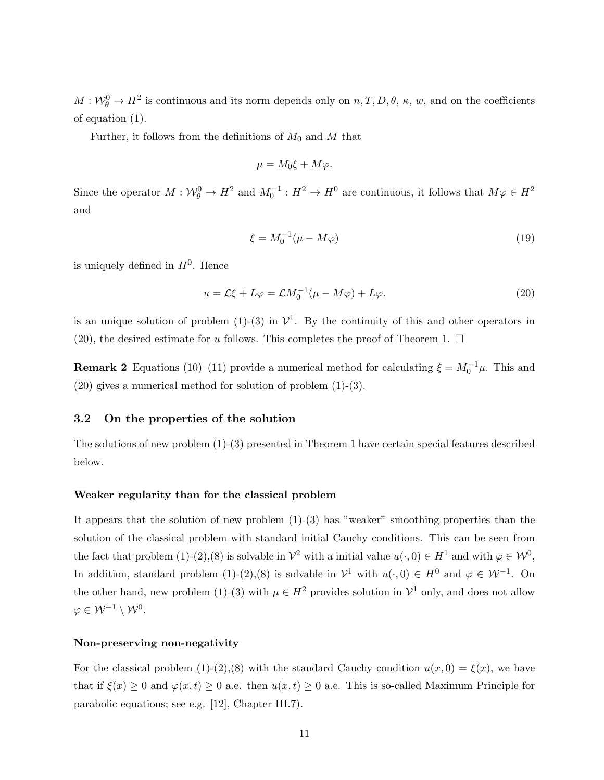$M:\mathcal{W}_{\theta}^{0}\to H^{2}$  is continuous and its norm depends only on  $n, T, D, \theta, \kappa, w$ , and on the coefficients of equation (1).

Further, it follows from the definitions of  $M_0$  and M that

$$
\mu = M_0 \xi + M \varphi.
$$

Since the operator  $M: W^0_{\theta} \to H^2$  and  $M_0^{-1}: H^2 \to H^0$  are continuous, it follows that  $M\varphi \in H^2$ and

$$
\xi = M_0^{-1}(\mu - M\varphi) \tag{19}
$$

is uniquely defined in  $H^0$ . Hence

$$
u = \mathcal{L}\xi + L\varphi = \mathcal{L}M_0^{-1}(\mu - M\varphi) + L\varphi.
$$
\n(20)

is an unique solution of problem (1)-(3) in  $\mathcal{V}^1$ . By the continuity of this and other operators in (20), the desired estimate for u follows. This completes the proof of Theorem 1.  $\Box$ 

**Remark 2** Equations (10)–(11) provide a numerical method for calculating  $\xi = M_0^{-1}\mu$ . This and  $(20)$  gives a numerical method for solution of problem  $(1)-(3)$ .

#### 3.2 On the properties of the solution

The solutions of new problem (1)-(3) presented in Theorem 1 have certain special features described below.

#### Weaker regularity than for the classical problem

It appears that the solution of new problem  $(1)-(3)$  has "weaker" smoothing properties than the solution of the classical problem with standard initial Cauchy conditions. This can be seen from the fact that problem (1)-(2),(8) is solvable in  $\mathcal{V}^2$  with a initial value  $u(\cdot,0) \in H^1$  and with  $\varphi \in \mathcal{W}^0$ , In addition, standard problem (1)-(2),(8) is solvable in  $\mathcal{V}^1$  with  $u(\cdot,0) \in H^0$  and  $\varphi \in \mathcal{W}^{-1}$ . On the other hand, new problem (1)-(3) with  $\mu \in H^2$  provides solution in  $\mathcal{V}^1$  only, and does not allow  $\varphi \in \mathcal{W}^{-1} \setminus \mathcal{W}^0.$ 

#### Non-preserving non-negativity

For the classical problem (1)-(2),(8) with the standard Cauchy condition  $u(x, 0) = \xi(x)$ , we have that if  $\xi(x) \geq 0$  and  $\varphi(x, t) \geq 0$  a.e. then  $u(x, t) \geq 0$  a.e. This is so-called Maximum Principle for parabolic equations; see e.g. [12], Chapter III.7).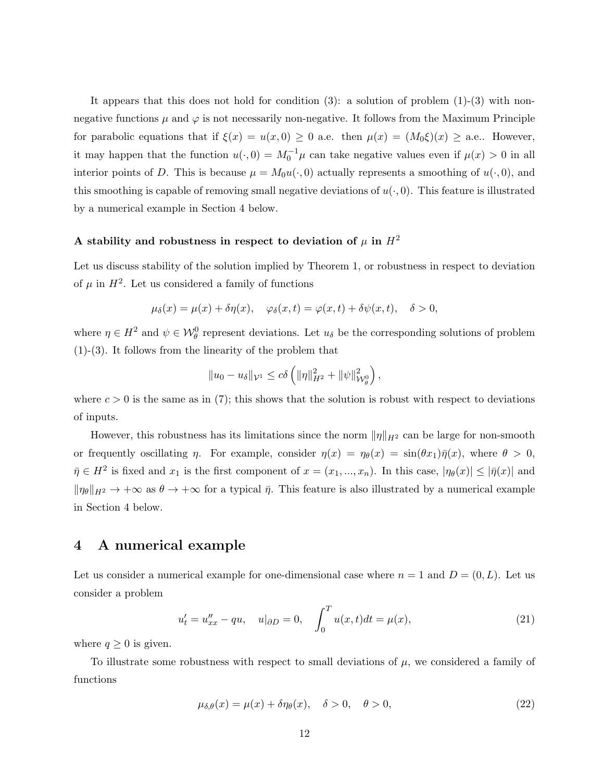It appears that this does not hold for condition (3): a solution of problem (1)-(3) with nonnegative functions  $\mu$  and  $\varphi$  is not necessarily non-negative. It follows from the Maximum Principle for parabolic equations that if  $\xi(x) = u(x, 0) \ge 0$  a.e. then  $\mu(x) = (M_0 \xi)(x) \ge$  a.e.. However, it may happen that the function  $u(\cdot, 0) = M_0^{-1} \mu$  can take negative values even if  $\mu(x) > 0$  in all interior points of D. This is because  $\mu = M_0u(\cdot, 0)$  actually represents a smoothing of  $u(\cdot, 0)$ , and this smoothing is capable of removing small negative deviations of  $u(\cdot, 0)$ . This feature is illustrated by a numerical example in Section 4 below.

# A stability and robustness in respect to deviation of  $\mu$  in  $H^2$

Let us discuss stability of the solution implied by Theorem 1, or robustness in respect to deviation of  $\mu$  in  $H^2$ . Let us considered a family of functions

$$
\mu_{\delta}(x) = \mu(x) + \delta \eta(x), \quad \varphi_{\delta}(x, t) = \varphi(x, t) + \delta \psi(x, t), \quad \delta > 0,
$$

where  $\eta \in H^2$  and  $\psi \in \mathcal{W}_{\theta}^0$  represent deviations. Let  $u_{\delta}$  be the corresponding solutions of problem (1)-(3). It follows from the linearity of the problem that

$$
||u_0 - u_\delta||_{\mathcal{V}^1} \le c\delta \left(||\eta||^2_{H^2} + ||\psi||^2_{\mathcal{W}^0_{\theta}}\right),\,
$$

where  $c > 0$  is the same as in (7); this shows that the solution is robust with respect to deviations of inputs.

However, this robustness has its limitations since the norm  $\|\eta\|_{H^2}$  can be large for non-smooth or frequently oscillating  $\eta$ . For example, consider  $\eta(x) = \eta_{\theta}(x) = \sin(\theta x_1)\overline{\eta}(x)$ , where  $\theta > 0$ ,  $\bar{\eta} \in H^2$  is fixed and  $x_1$  is the first component of  $x = (x_1, ..., x_n)$ . In this case,  $|\eta_{\theta}(x)| \leq |\bar{\eta}(x)|$  and  $\|\eta_\theta\|_{H^2} \to +\infty$  as  $\theta \to +\infty$  for a typical  $\bar{\eta}$ . This feature is also illustrated by a numerical example in Section 4 below.

## 4 A numerical example

Let us consider a numerical example for one-dimensional case where  $n = 1$  and  $D = (0, L)$ . Let us consider a problem

$$
u'_{t} = u''_{xx} - qu, \quad u|_{\partial D} = 0, \quad \int_{0}^{T} u(x, t)dt = \mu(x), \tag{21}
$$

where  $q \geq 0$  is given.

To illustrate some robustness with respect to small deviations of  $\mu$ , we considered a family of functions

$$
\mu_{\delta,\theta}(x) = \mu(x) + \delta \eta_{\theta}(x), \quad \delta > 0, \quad \theta > 0,
$$
\n(22)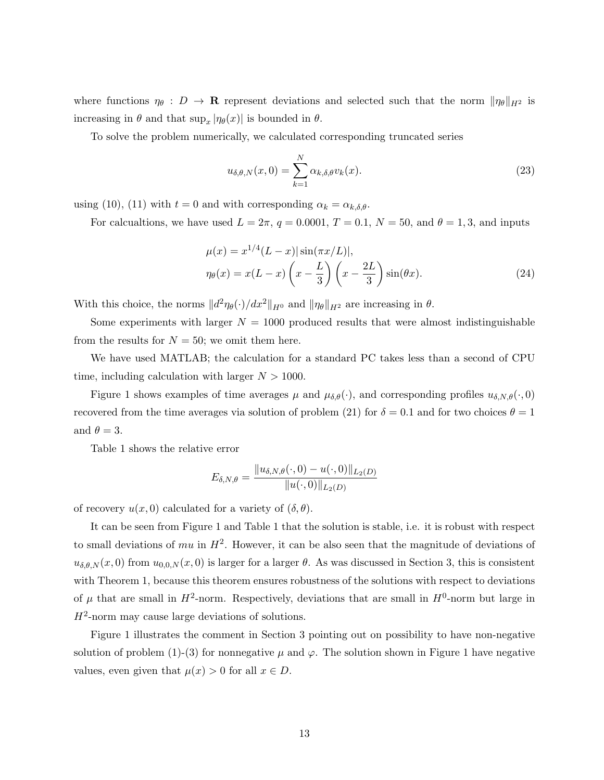where functions  $\eta_{\theta}: D \to \mathbf{R}$  represent deviations and selected such that the norm  $\|\eta_{\theta}\|_{H^2}$  is increasing in  $\theta$  and that  $\sup_x |\eta_{\theta}(x)|$  is bounded in  $\theta$ .

To solve the problem numerically, we calculated corresponding truncated series

$$
u_{\delta,\theta,N}(x,0) = \sum_{k=1}^{N} \alpha_{k,\delta,\theta} v_k(x).
$$
\n(23)

using (10), (11) with  $t = 0$  and with corresponding  $\alpha_k = \alpha_{k,\delta,\theta}$ .

For calcualtions, we have used  $L = 2\pi$ ,  $q = 0.0001$ ,  $T = 0.1$ ,  $N = 50$ , and  $\theta = 1, 3$ , and inputs

$$
\mu(x) = x^{1/4} (L - x) |\sin(\pi x/L)|, \n\eta_{\theta}(x) = x(L - x) \left(x - \frac{L}{3}\right) \left(x - \frac{2L}{3}\right) \sin(\theta x).
$$
\n(24)

With this choice, the norms  $||d^2\eta_\theta(\cdot)/dx^2||_{H^0}$  and  $||\eta_\theta||_{H^2}$  are increasing in  $\theta$ .

Some experiments with larger  $N = 1000$  produced results that were almost indistinguishable from the results for  $N = 50$ ; we omit them here.

We have used MATLAB; the calculation for a standard PC takes less than a second of CPU time, including calculation with larger  $N > 1000$ .

Figure 1 shows examples of time averages  $\mu$  and  $\mu_{\delta,\theta}(\cdot)$ , and corresponding profiles  $u_{\delta,N,\theta}(\cdot,0)$ recovered from the time averages via solution of problem (21) for  $\delta = 0.1$  and for two choices  $\theta = 1$ and  $\theta = 3$ .

Table 1 shows the relative error

$$
E_{\delta, N, \theta} = \frac{||u_{\delta, N, \theta}(\cdot, 0) - u(\cdot, 0)||_{L_2(D)}}{||u(\cdot, 0)||_{L_2(D)}}
$$

of recovery  $u(x, 0)$  calculated for a variety of  $(\delta, \theta)$ .

It can be seen from Figure 1 and Table 1 that the solution is stable, i.e. it is robust with respect to small deviations of  $mu$  in  $H^2$ . However, it can be also seen that the magnitude of deviations of  $u_{\delta,\theta,N}(x,0)$  from  $u_{0,0,N}(x,0)$  is larger for a larger  $\theta$ . As was discussed in Section 3, this is consistent with Theorem 1, because this theorem ensures robustness of the solutions with respect to deviations of  $\mu$  that are small in  $H^2$ -norm. Respectively, deviations that are small in  $H^0$ -norm but large in  $H^2$ -norm may cause large deviations of solutions.

Figure 1 illustrates the comment in Section 3 pointing out on possibility to have non-negative solution of problem (1)-(3) for nonnegative  $\mu$  and  $\varphi$ . The solution shown in Figure 1 have negative values, even given that  $\mu(x) > 0$  for all  $x \in D$ .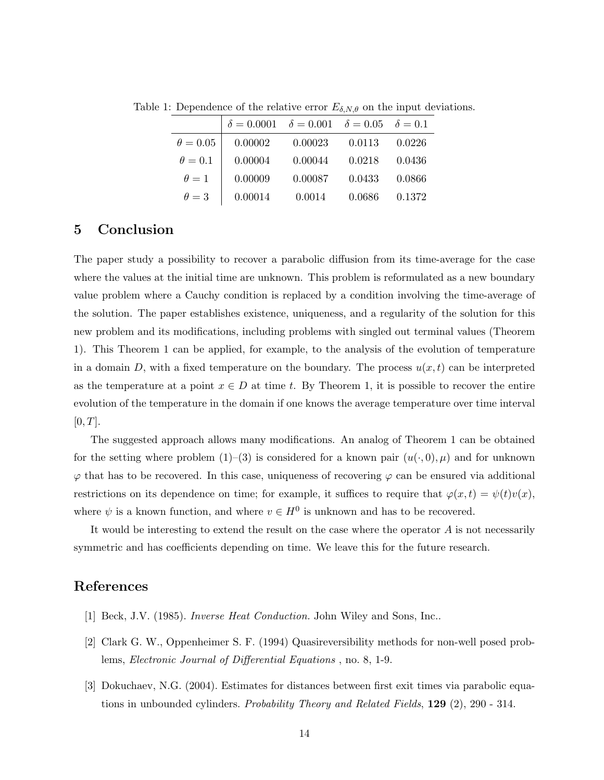|                 | $\delta = 0.0001$ $\delta = 0.001$ $\delta = 0.05$ $\delta = 0.1$ |         |        |        |
|-----------------|-------------------------------------------------------------------|---------|--------|--------|
| $\theta = 0.05$ | 0.00002                                                           | 0.00023 | 0.0113 | 0.0226 |
| $\theta = 0.1$  | 0.00004                                                           | 0.00044 | 0.0218 | 0.0436 |
| $\theta=1$      | 0.00009                                                           | 0.00087 | 0.0433 | 0.0866 |
| $\theta=3$      | 0.00014                                                           | 0.0014  | 0.0686 | 0.1372 |

Table 1: Dependence of the relative error  $E_{\delta, N, \theta}$  on the input deviations.

### 5 Conclusion

The paper study a possibility to recover a parabolic diffusion from its time-average for the case where the values at the initial time are unknown. This problem is reformulated as a new boundary value problem where a Cauchy condition is replaced by a condition involving the time-average of the solution. The paper establishes existence, uniqueness, and a regularity of the solution for this new problem and its modifications, including problems with singled out terminal values (Theorem 1). This Theorem 1 can be applied, for example, to the analysis of the evolution of temperature in a domain D, with a fixed temperature on the boundary. The process  $u(x, t)$  can be interpreted as the temperature at a point  $x \in D$  at time t. By Theorem 1, it is possible to recover the entire evolution of the temperature in the domain if one knows the average temperature over time interval  $[0, T].$ 

The suggested approach allows many modifications. An analog of Theorem 1 can be obtained for the setting where problem (1)–(3) is considered for a known pair  $(u(\cdot, 0), \mu)$  and for unknown  $\varphi$  that has to be recovered. In this case, uniqueness of recovering  $\varphi$  can be ensured via additional restrictions on its dependence on time; for example, it suffices to require that  $\varphi(x, t) = \psi(t)v(x)$ , where  $\psi$  is a known function, and where  $v \in H^0$  is unknown and has to be recovered.

It would be interesting to extend the result on the case where the operator  $A$  is not necessarily symmetric and has coefficients depending on time. We leave this for the future research.

## References

- [1] Beck, J.V. (1985). Inverse Heat Conduction. John Wiley and Sons, Inc..
- [2] Clark G. W., Oppenheimer S. F. (1994) Quasireversibility methods for non-well posed problems, Electronic Journal of Differential Equations , no. 8, 1-9.
- [3] Dokuchaev, N.G. (2004). Estimates for distances between first exit times via parabolic equations in unbounded cylinders. Probability Theory and Related Fields,  $129$  (2), 290 - 314.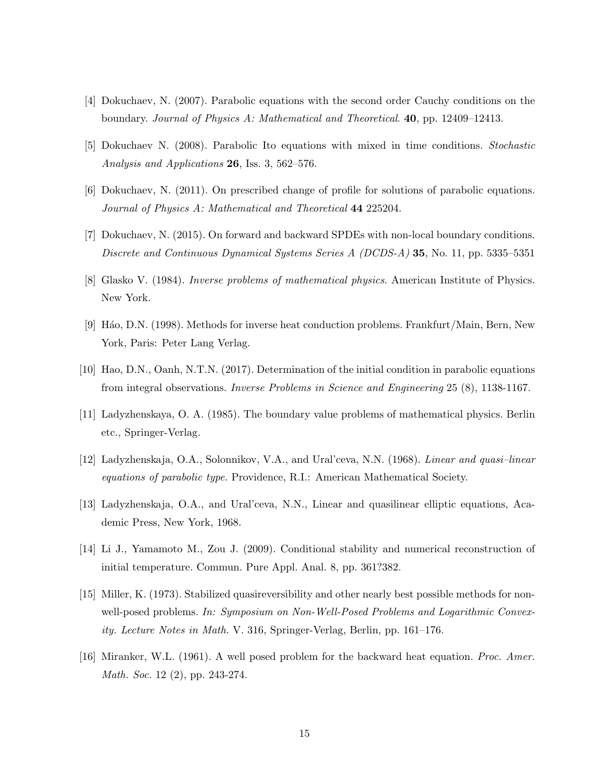- [4] Dokuchaev, N. (2007). Parabolic equations with the second order Cauchy conditions on the boundary. Journal of Physics A: Mathematical and Theoretical. 40, pp. 12409–12413.
- [5] Dokuchaev N. (2008). Parabolic Ito equations with mixed in time conditions. Stochastic Analysis and Applications 26, Iss. 3, 562–576.
- [6] Dokuchaev, N. (2011). On prescribed change of profile for solutions of parabolic equations. Journal of Physics A: Mathematical and Theoretical 44 225204.
- [7] Dokuchaev, N. (2015). On forward and backward SPDEs with non-local boundary conditions. Discrete and Continuous Dynamical Systems Series A (DCDS-A) 35, No. 11, pp. 5335–5351
- [8] Glasko V. (1984). Inverse problems of mathematical physics. American Institute of Physics. New York.
- [9] H´ao, D.N. (1998). Methods for inverse heat conduction problems. Frankfurt/Main, Bern, New York, Paris: Peter Lang Verlag.
- [10] Hao, D.N., Oanh, N.T.N. (2017). Determination of the initial condition in parabolic equations from integral observations. Inverse Problems in Science and Engineering 25 (8), 1138-1167.
- [11] Ladyzhenskaya, O. A. (1985). The boundary value problems of mathematical physics. Berlin etc., Springer-Verlag.
- [12] Ladyzhenskaja, O.A., Solonnikov, V.A., and Ural'ceva, N.N. (1968). Linear and quasi–linear equations of parabolic type. Providence, R.I.: American Mathematical Society.
- [13] Ladyzhenskaja, O.A., and Ural'ceva, N.N., Linear and quasilinear elliptic equations, Academic Press, New York, 1968.
- [14] Li J., Yamamoto M., Zou J. (2009). Conditional stability and numerical reconstruction of initial temperature. Commun. Pure Appl. Anal. 8, pp. 361?382.
- [15] Miller, K. (1973). Stabilized quasireversibility and other nearly best possible methods for nonwell-posed problems. In: Symposium on Non-Well-Posed Problems and Logarithmic Convexity. Lecture Notes in Math. V. 316, Springer-Verlag, Berlin, pp. 161–176.
- [16] Miranker, W.L. (1961). A well posed problem for the backward heat equation. Proc. Amer. Math. Soc. 12 (2), pp. 243-274.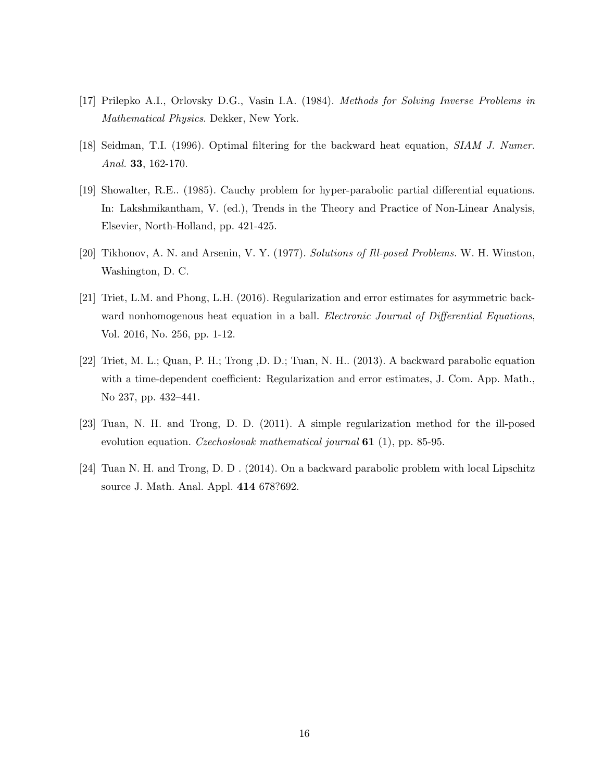- [17] Prilepko A.I., Orlovsky D.G., Vasin I.A. (1984). Methods for Solving Inverse Problems in Mathematical Physics. Dekker, New York.
- [18] Seidman, T.I. (1996). Optimal filtering for the backward heat equation, SIAM J. Numer. Anal. **33**, 162-170.
- [19] Showalter, R.E.. (1985). Cauchy problem for hyper-parabolic partial differential equations. In: Lakshmikantham, V. (ed.), Trends in the Theory and Practice of Non-Linear Analysis, Elsevier, North-Holland, pp. 421-425.
- [20] Tikhonov, A. N. and Arsenin, V. Y. (1977). Solutions of Ill-posed Problems. W. H. Winston, Washington, D. C.
- [21] Triet, L.M. and Phong, L.H. (2016). Regularization and error estimates for asymmetric backward nonhomogenous heat equation in a ball. *Electronic Journal of Differential Equations*, Vol. 2016, No. 256, pp. 1-12.
- [22] Triet, M. L.; Quan, P. H.; Trong ,D. D.; Tuan, N. H.. (2013). A backward parabolic equation with a time-dependent coefficient: Regularization and error estimates, J. Com. App. Math., No 237, pp. 432–441.
- [23] Tuan, N. H. and Trong, D. D. (2011). A simple regularization method for the ill-posed evolution equation. Czechoslovak mathematical journal 61 (1), pp. 85-95.
- [24] Tuan N. H. and Trong, D. D . (2014). On a backward parabolic problem with local Lipschitz source J. Math. Anal. Appl. 414 678?692.